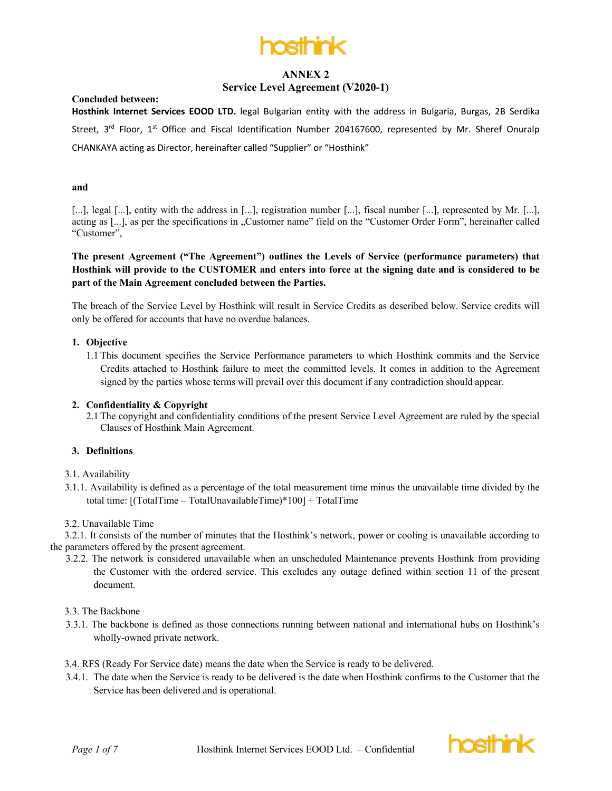

## **Service Level Agreement (V2020-1)**

#### **Concluded between:**

**Hosthink Internet Services EOOD LTD.** legal Bulgarian entity with the address in Bulgaria, Burgas, 2B Serdika Street,  $3^{rd}$  Floor,  $1^{st}$  Office and Fiscal Identification Number 204167600, represented by Mr. Sheref Onuralp CHANKAYA acting as Director, hereinafter called "Supplier" or "Hosthink"

#### **and**

[...], legal [...], entity with the address in [...], registration number [...], fiscal number [...], represented by Mr. [...], acting as [...], as per the specifications in "Customer name" field on the "Customer Order Form", hereinafter called "Customer",

**The present Agreement ("The Agreement") outlines the Levels of Service (performance parameters) that Hosthink will provide to the CUSTOMER and enters into force at the signing date and is considered to be part of the Main Agreement concluded between the Parties.**

The breach of the Service Level by Hosthink will result in Service Credits as described below. Service credits will only be offered for accounts that have no overdue balances.

#### **1. Objective**

1.1 This document specifies the Service Performance parameters to which Hosthink commits and the Service Credits attached to Hosthink failure to meet the committed levels. It comes in addition to the Agreement signed by the parties whose terms will prevail over this document if any contradiction should appear.

### **2. Confidentiality & Copyright**

2.1 The copyright and confidentiality conditions of the present Service Level Agreement are ruled by the special Clauses of Hosthink Main Agreement.

### **3. Definitions**

#### 3.1. Availability

3.1.1. Availability is defined as a percentage of the total measurement time minus the unavailable time divided by the total time:  $[(TotalTime - TotalUnavailableTime)*100] \div TotalTime$ 

#### 3.2. Unavailable Time

3.2.1. It consists of the number of minutes that the Hosthink's network, power or cooling is unavailable according to the parameters offered by the present agreement.

3.2.2. The network is considered unavailable when an unscheduled Maintenance prevents Hosthink from providing the Customer with the ordered service. This excludes any outage defined within section 11 of the present document.

#### 3.3. The Backbone

- 3.3.1. The backbone is defined as those connections running between national and international hubs on Hosthink's wholly-owned private network.
- 3.4. RFS (Ready For Service date) means the date when the Service is ready to be delivered.
- 3.4.1. The date when the Service is ready to be delivered is the date when Hosthink confirms to the Customer that the Service has been delivered and is operational.

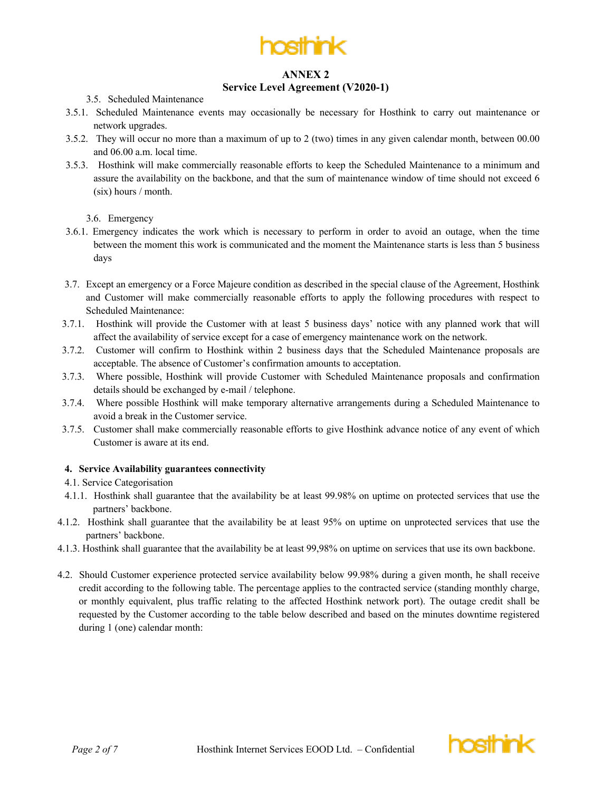

### **Service Level Agreement (V2020-1)**

### 3.5. Scheduled Maintenance

- 3.5.1. Scheduled Maintenance events may occasionally be necessary for Hosthink to carry out maintenance or network upgrades.
- 3.5.2. They will occur no more than a maximum of up to 2 (two) times in any given calendar month, between 00.00 and 06.00 a.m. local time.
- 3.5.3. Hosthink will make commercially reasonable efforts to keep the Scheduled Maintenance to a minimum and assure the availability on the backbone, and that the sum of maintenance window of time should not exceed 6 (six) hours / month.

3.6. Emergency

- 3.6.1. Emergency indicates the work which is necessary to perform in order to avoid an outage, when the time between the moment this work is communicated and the moment the Maintenance starts is less than 5 business days
- 3.7. Except an emergency or a Force Majeure condition as described in the special clause of the Agreement, Hosthink and Customer will make commercially reasonable efforts to apply the following procedures with respect to Scheduled Maintenance:
- 3.7.1. Hosthink will provide the Customer with at least 5 business days' notice with any planned work that will affect the availability of service except for a case of emergency maintenance work on the network.
- 3.7.2. Customer will confirm to Hosthink within 2 business days that the Scheduled Maintenance proposals are acceptable. The absence of Customer's confirmation amounts to acceptation.
- 3.7.3. Where possible, Hosthink will provide Customer with Scheduled Maintenance proposals and confirmation details should be exchanged by e-mail / telephone.
- 3.7.4. Where possible Hosthink will make temporary alternative arrangements during a Scheduled Maintenance to avoid a break in the Customer service.
- 3.7.5. Customer shall make commercially reasonable efforts to give Hosthink advance notice of any event of which Customer is aware at its end.

# **4. Service Availability guarantees connectivity**

- 4.1. Service Categorisation
- 4.1.1. Hosthink shall guarantee that the availability be at least 99.98% on uptime on protected services that use the partners' backbone.
- 4.1.2. Hosthink shall guarantee that the availability be at least 95% on uptime on unprotected services that use the partners' backbone.
- 4.1.3. Hosthink shall guarantee that the availability be at least 99,98% on uptime on services that use its own backbone.
- 4.2. Should Customer experience protected service availability below 99.98% during a given month, he shall receive credit according to the following table. The percentage applies to the contracted service (standing monthly charge, or monthly equivalent, plus traffic relating to the affected Hosthink network port). The outage credit shall be requested by the Customer according to the table below described and based on the minutes downtime registered during 1 (one) calendar month:

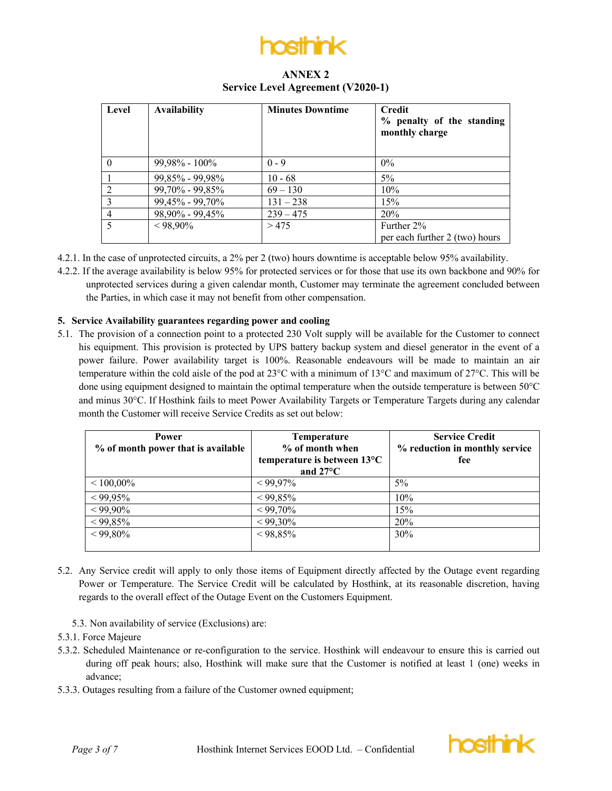

# **ANNEX 2 Service Level Agreement (V2020-1)**

| Level          | <b>Availability</b> | <b>Minutes Downtime</b> | <b>Credit</b><br>% penalty of the standing<br>monthly charge |
|----------------|---------------------|-------------------------|--------------------------------------------------------------|
| $\Omega$       | $99,98\% - 100\%$   | $0 - 9$                 | $0\%$                                                        |
|                | 99,85% - 99,98%     | $10 - 68$               | $5\%$                                                        |
| $\mathcal{D}$  | 99,70% - 99,85%     | $69 - 130$              | 10%                                                          |
| $\mathcal{E}$  | 99,45% - 99,70%     | $131 - 238$             | 15%                                                          |
| $\overline{4}$ | 98,90% - 99,45%     | $239 - 475$             | 20%                                                          |
| 5              | $< 98,90\%$         | >475                    | Further 2%                                                   |
|                |                     |                         | per each further 2 (two) hours                               |

4.2.1. In the case of unprotected circuits, a 2% per 2 (two) hours downtime is acceptable below 95% availability.

4.2.2. If the average availability is below 95% for protected services or for those that use its own backbone and 90% for unprotected services during a given calendar month, Customer may terminate the agreement concluded between the Parties, in which case it may not benefit from other compensation.

### **5. Service Availability guarantees regarding power and cooling**

5.1. The provision of a connection point to a protected 230 Volt supply will be available for the Customer to connect his equipment. This provision is protected by UPS battery backup system and diesel generator in the event of a power failure. Power availability target is 100%. Reasonable endeavours will be made to maintain an air temperature within the cold aisle of the pod at 23°C with a minimum of 13°C and maximum of 27°C. This will be done using equipment designed to maintain the optimal temperature when the outside temperature is between 50°C and minus 30°C. If Hosthink fails to meet Power Availability Targets or Temperature Targets during any calendar month the Customer will receive Service Credits as set out below:

| <b>Power</b><br>% of month power that is available | <b>Temperature</b><br>% of month when<br>temperature is between 13°C<br>and $27^{\circ}$ C | <b>Service Credit</b><br>% reduction in monthly service<br>fee |
|----------------------------------------------------|--------------------------------------------------------------------------------------------|----------------------------------------------------------------|
| $< 100.00\%$                                       | $< 99.97\%$                                                                                | $5\%$                                                          |
| $< 99,95\%$                                        | $< 99,85\%$                                                                                | 10%                                                            |
| $< 99,90\%$                                        | $< 99,70\%$                                                                                | 15%                                                            |
| $< 99,85\%$                                        | $< 99,30\%$                                                                                | <b>20%</b>                                                     |
| $< 99,80\%$                                        | $< 98,85\%$                                                                                | 30%                                                            |

- 5.2. Any Service credit will apply to only those items of Equipment directly affected by the Outage event regarding Power or Temperature. The Service Credit will be calculated by Hosthink, at its reasonable discretion, having regards to the overall effect of the Outage Event on the Customers Equipment.
	- 5.3. Non availability of service (Exclusions) are:
- 5.3.1. Force Majeure
- 5.3.2. Scheduled Maintenance or re-configuration to the service. Hosthink will endeavour to ensure this is carried out during off peak hours; also, Hosthink will make sure that the Customer is notified at least 1 (one) weeks in advance;
- 5.3.3. Outages resulting from a failure of the Customer owned equipment;

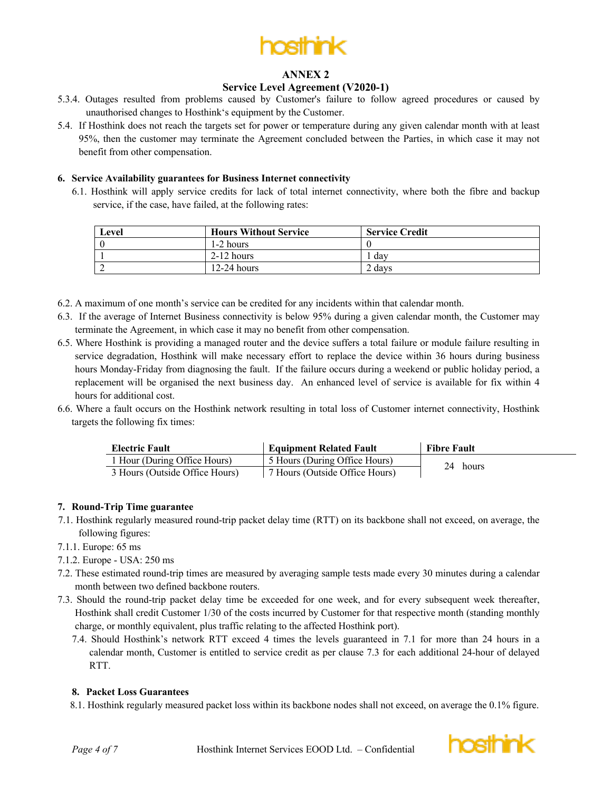

## **Service Level Agreement (V2020-1)**

- 5.3.4. Outages resulted from problems caused by Customer's failure to follow agreed procedures or caused by unauthorised changes to Hosthink's equipment by the Customer.
- 5.4. If Hosthink does not reach the targets set for power or temperature during any given calendar month with at least 95%, then the customer may terminate the Agreement concluded between the Parties, in which case it may not benefit from other compensation.

### **6. Service Availability guarantees for Business Internet connectivity**

6.1. Hosthink will apply service credits for lack of total internet connectivity, where both the fibre and backup service, if the case, have failed, at the following rates:

| Level | <b>Hours Without Service</b> | <b>Service Credit</b> |
|-------|------------------------------|-----------------------|
|       | 1-2 hours                    |                       |
|       | $2-12$ hours                 | . dav                 |
|       | $12-24$ hours                | 2 days                |

- 6.2. A maximum of one month's service can be credited for any incidents within that calendar month.
- 6.3. If the average of Internet Business connectivity is below 95% during a given calendar month, the Customer may terminate the Agreement, in which case it may no benefit from other compensation.
- 6.5. Where Hosthink is providing a managed router and the device suffers a total failure or module failure resulting in service degradation, Hosthink will make necessary effort to replace the device within 36 hours during business hours Monday-Friday from diagnosing the fault. If the failure occurs during a weekend or public holiday period, a replacement will be organised the next business day. An enhanced level of service is available for fix within 4 hours for additional cost.
- 6.6. Where a fault occurs on the Hosthink network resulting in total loss of Customer internet connectivity, Hosthink targets the following fix times:

| <b>Electric Fault</b>          | <b>Equipment Related Fault</b> | <b>Fibre Fault</b> |
|--------------------------------|--------------------------------|--------------------|
| 1 Hour (During Office Hours)   | 5 Hours (During Office Hours)  | 24 hours           |
| 3 Hours (Outside Office Hours) | 7 Hours (Outside Office Hours) |                    |

### **7. Round-Trip Time guarantee**

- 7.1. Hosthink regularly measured round-trip packet delay time (RTT) on its backbone shall not exceed, on average, the following figures:
- 7.1.1. Europe: 65 ms
- 7.1.2. Europe USA: 250 ms
- 7.2. These estimated round-trip times are measured by averaging sample tests made every 30 minutes during a calendar month between two defined backbone routers.
- 7.3. Should the round-trip packet delay time be exceeded for one week, and for every subsequent week thereafter, Hosthink shall credit Customer 1/30 of the costs incurred by Customer for that respective month (standing monthly charge, or monthly equivalent, plus traffic relating to the affected Hosthink port).
	- 7.4. Should Hosthink's network RTT exceed 4 times the levels guaranteed in 7.1 for more than 24 hours in a calendar month, Customer is entitled to service credit as per clause 7.3 for each additional 24-hour of delayed RTT.

### **8. Packet Loss Guarantees**

8.1. Hosthink regularly measured packet loss within its backbone nodes shall not exceed, on average the 0.1% figure.

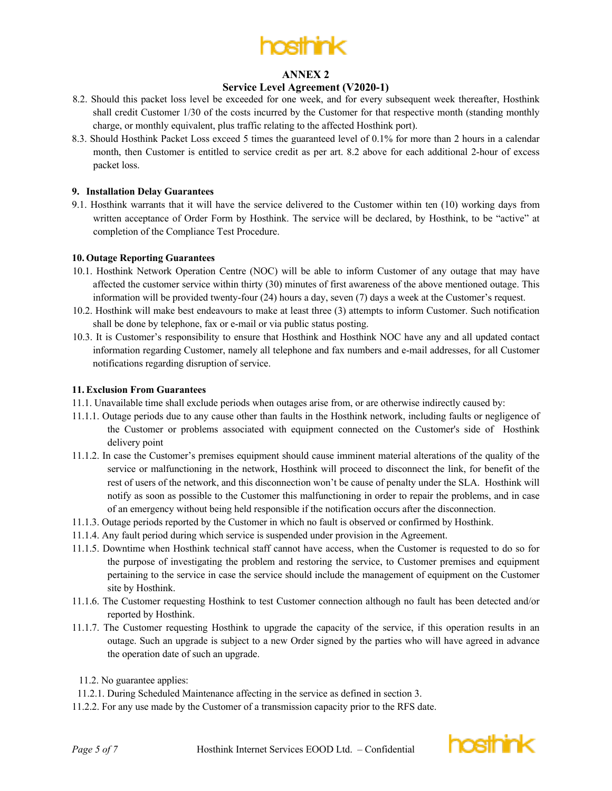

## **Service Level Agreement (V2020-1)**

- 8.2. Should this packet loss level be exceeded for one week, and for every subsequent week thereafter, Hosthink shall credit Customer 1/30 of the costs incurred by the Customer for that respective month (standing monthly charge, or monthly equivalent, plus traffic relating to the affected Hosthink port).
- 8.3. Should Hosthink Packet Loss exceed 5 times the guaranteed level of 0.1% for more than 2 hours in a calendar month, then Customer is entitled to service credit as per art. 8.2 above for each additional 2-hour of excess packet loss.

### **9. Installation Delay Guarantees**

9.1. Hosthink warrants that it will have the service delivered to the Customer within ten (10) working days from written acceptance of Order Form by Hosthink. The service will be declared, by Hosthink, to be "active" at completion of the Compliance Test Procedure.

#### **10. Outage Reporting Guarantees**

- 10.1. Hosthink Network Operation Centre (NOC) will be able to inform Customer of any outage that may have affected the customer service within thirty (30) minutes of first awareness of the above mentioned outage. This information will be provided twenty-four (24) hours a day, seven (7) days a week at the Customer's request.
- 10.2. Hosthink will make best endeavours to make at least three (3) attempts to inform Customer. Such notification shall be done by telephone, fax or e-mail or via public status posting.
- 10.3. It is Customer's responsibility to ensure that Hosthink and Hosthink NOC have any and all updated contact information regarding Customer, namely all telephone and fax numbers and e-mail addresses, for all Customer notifications regarding disruption of service.

#### **11.Exclusion From Guarantees**

- 11.1. Unavailable time shall exclude periods when outages arise from, or are otherwise indirectly caused by:
- 11.1.1. Outage periods due to any cause other than faults in the Hosthink network, including faults or negligence of the Customer or problems associated with equipment connected on the Customer's side of Hosthink delivery point
- 11.1.2. In case the Customer's premises equipment should cause imminent material alterations of the quality of the service or malfunctioning in the network, Hosthink will proceed to disconnect the link, for benefit of the rest of users of the network, and this disconnection won't be cause of penalty under the SLA. Hosthink will notify as soon as possible to the Customer this malfunctioning in order to repair the problems, and in case of an emergency without being held responsible if the notification occurs after the disconnection.
- 11.1.3. Outage periods reported by the Customer in which no fault is observed or confirmed by Hosthink.
- 11.1.4. Any fault period during which service is suspended under provision in the Agreement.
- 11.1.5. Downtime when Hosthink technical staff cannot have access, when the Customer is requested to do so for the purpose of investigating the problem and restoring the service, to Customer premises and equipment pertaining to the service in case the service should include the management of equipment on the Customer site by Hosthink.
- 11.1.6. The Customer requesting Hosthink to test Customer connection although no fault has been detected and/or reported by Hosthink.
- 11.1.7. The Customer requesting Hosthink to upgrade the capacity of the service, if this operation results in an outage. Such an upgrade is subject to a new Order signed by the parties who will have agreed in advance the operation date of such an upgrade.
- 11.2. No guarantee applies:
- 11.2.1. During Scheduled Maintenance affecting in the service as defined in section 3.
- 11.2.2. For any use made by the Customer of a transmission capacity prior to the RFS date.

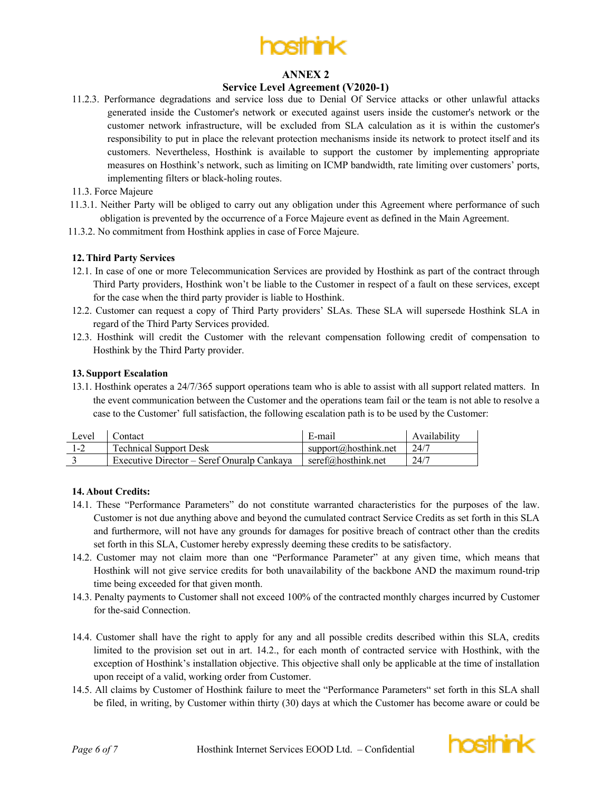

## **Service Level Agreement (V2020-1)**

- 11.2.3. Performance degradations and service loss due to Denial Of Service attacks or other unlawful attacks generated inside the Customer's network or executed against users inside the customer's network or the customer network infrastructure, will be excluded from SLA calculation as it is within the customer's responsibility to put in place the relevant protection mechanisms inside its network to protect itself and its customers. Nevertheless, Hosthink is available to support the customer by implementing appropriate measures on Hosthink's network, such as limiting on ICMP bandwidth, rate limiting over customers' ports, implementing filters or black-holing routes.
- 11.3. Force Majeure
- 11.3.1. Neither Party will be obliged to carry out any obligation under this Agreement where performance of such obligation is prevented by the occurrence of a Force Majeure event as defined in the Main Agreement.
- 11.3.2. No commitment from Hosthink applies in case of Force Majeure.

### **12.Third Party Services**

- 12.1. In case of one or more Telecommunication Services are provided by Hosthink as part of the contract through Third Party providers, Hosthink won't be liable to the Customer in respect of a fault on these services, except for the case when the third party provider is liable to Hosthink.
- 12.2. Customer can request a copy of Third Party providers' SLAs. These SLA will supersede Hosthink SLA in regard of the Third Party Services provided.
- 12.3. Hosthink will credit the Customer with the relevant compensation following credit of compensation to Hosthink by the Third Party provider.

#### **13. Support Escalation**

13.1. Hosthink operates a 24/7/365 support operations team who is able to assist with all support related matters. In the event communication between the Customer and the operations team fail or the team is not able to resolve a case to the Customer' full satisfaction, the following escalation path is to be used by the Customer:

| Level | Contact                                    | E-mail               | Availability |
|-------|--------------------------------------------|----------------------|--------------|
|       | <b>Technical Support Desk</b>              | support@hosthink.net | 24/7         |
|       | Executive Director – Seref Onuralp Cankava | seref@hosthink.net   | 24/7         |

### **14. About Credits:**

- 14.1. These "Performance Parameters" do not constitute warranted characteristics for the purposes of the law. Customer is not due anything above and beyond the cumulated contract Service Credits as set forth in this SLA and furthermore, will not have any grounds for damages for positive breach of contract other than the credits set forth in this SLA, Customer hereby expressly deeming these credits to be satisfactory.
- 14.2. Customer may not claim more than one "Performance Parameter" at any given time, which means that Hosthink will not give service credits for both unavailability of the backbone AND the maximum round-trip time being exceeded for that given month.
- 14.3. Penalty payments to Customer shall not exceed 100% of the contracted monthly charges incurred by Customer for the-said Connection.
- 14.4. Customer shall have the right to apply for any and all possible credits described within this SLA, credits limited to the provision set out in art. 14.2., for each month of contracted service with Hosthink, with the exception of Hosthink's installation objective. This objective shall only be applicable at the time of installation upon receipt of a valid, working order from Customer.
- 14.5. All claims by Customer of Hosthink failure to meet the "Performance Parameters" set forth in this SLA shall be filed, in writing, by Customer within thirty (30) days at which the Customer has become aware or could be